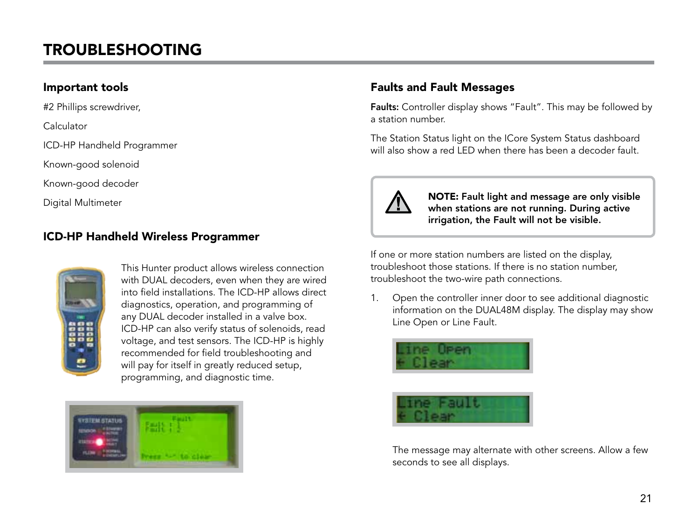## **TROUBLESHOOTING**

### Important tools

#2 Phillips screwdriver,

Calculator

ICD-HP Handheld Programmer

Known-good solenoid

Known-good decoder

Digital Multimeter

### ICD-HP Handheld Wireless Programmer



This Hunter product allows wireless connection with DUAL decoders, even when they are wired into field installations. The ICD-HP allows direct diagnostics, operation, and programming of any DUAL decoder installed in a valve box. ICD-HP can also verify status of solenoids, read voltage, and test sensors. The ICD-HP is highly recommended for field troubleshooting and will pay for itself in greatly reduced setup, programming, and diagnostic time.



### Faults and Fault Messages

Faults: Controller display shows "Fault". This may be followed by a station number.

The Station Status light on the ICore System Status dashboard will also show a red LED when there has been a decoder fault.



NOTE: Fault light and message are only visible when stations are not running. During active irrigation, the Fault will not be visible.

If one or more station numbers are listed on the display, troubleshoot those stations. If there is no station number, troubleshoot the two-wire path connections.

1. Open the controller inner door to see additional diagnostic information on the DUAL48M display. The display may show Line Open or Line Fault.



The message may alternate with other screens. Allow a few seconds to see all displays.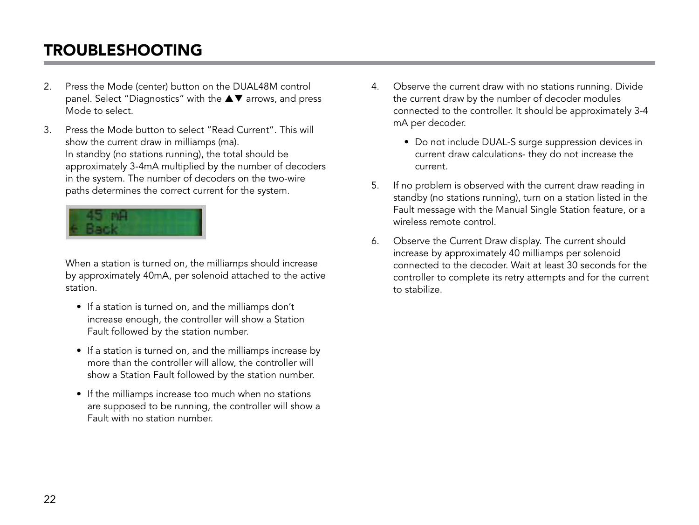## Troubleshooting

- 2. Press the Mode (center) button on the DUAL48M control panel. Select "Diagnostics" with the  $\blacktriangle \blacktriangledown$  arrows, and press Mode to select.
- 3. Press the Mode button to select "Read Current". This will show the current draw in milliamps (ma). In standby (no stations running), the total should be approximately 3-4mA multiplied by the number of decoders in the system. The number of decoders on the two-wire paths determines the correct current for the system.



When a station is turned on, the milliamps should increase by approximately 40mA, per solenoid attached to the active station.

- If a station is turned on, and the milliamps don't increase enough, the controller will show a Station Fault followed by the station number.
- If a station is turned on, and the milliamps increase by more than the controller will allow, the controller will show a Station Fault followed by the station number.
- If the milliamps increase too much when no stations are supposed to be running, the controller will show a Fault with no station number.
- 4. Observe the current draw with no stations running. Divide the current draw by the number of decoder modules connected to the controller. It should be approximately 3-4 mA per decoder.
	- Do not include DUAL-S surge suppression devices in current draw calculations- they do not increase the current.
- 5. If no problem is observed with the current draw reading in standby (no stations running), turn on a station listed in the Fault message with the Manual Single Station feature, or a wireless remote control.
- 6. Observe the Current Draw display. The current should increase by approximately 40 milliamps per solenoid connected to the decoder. Wait at least 30 seconds for the controller to complete its retry attempts and for the current to stabilize.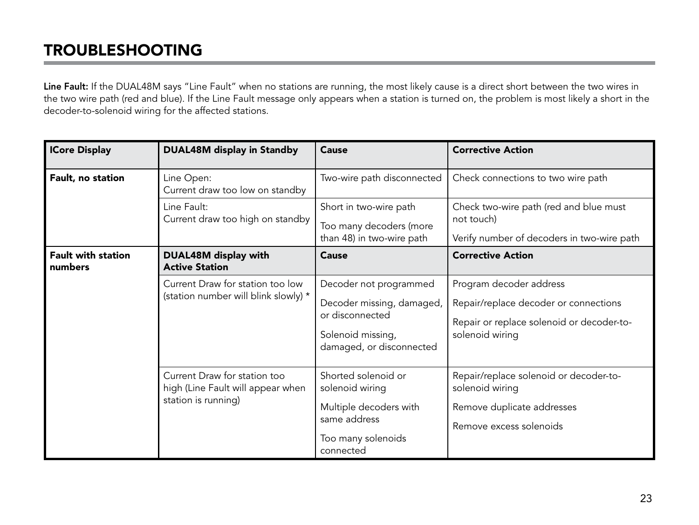# Troubleshooting

Line Fault: If the DUAL48M says "Line Fault" when no stations are running, the most likely cause is a direct short between the two wires in the two wire path (red and blue). If the Line Fault message only appears when a station is turned on, the problem is most likely a short in the decoder-to-solenoid wiring for the affected stations.

| <b>ICore Display</b>                 | <b>DUAL48M display in Standby</b>                                                        | Cause                                                                                                                   | <b>Corrective Action</b>                                                                                                         |
|--------------------------------------|------------------------------------------------------------------------------------------|-------------------------------------------------------------------------------------------------------------------------|----------------------------------------------------------------------------------------------------------------------------------|
| Fault, no station                    | Line Open:<br>Current draw too low on standby                                            | Two-wire path disconnected                                                                                              | Check connections to two wire path                                                                                               |
|                                      | Line Fault:<br>Current draw too high on standby                                          | Short in two-wire path<br>Too many decoders (more<br>than 48) in two-wire path                                          | Check two-wire path (red and blue must<br>not touch)<br>Verify number of decoders in two-wire path                               |
| <b>Fault with station</b><br>numbers | DUAL48M display with<br><b>Active Station</b>                                            | Cause                                                                                                                   | <b>Corrective Action</b>                                                                                                         |
|                                      | Current Draw for station too low<br>(station number will blink slowly) *                 | Decoder not programmed<br>Decoder missing, damaged,<br>or disconnected<br>Solenoid missing,<br>damaged, or disconnected | Program decoder address<br>Repair/replace decoder or connections<br>Repair or replace solenoid or decoder-to-<br>solenoid wiring |
|                                      | Current Draw for station too<br>high (Line Fault will appear when<br>station is running) | Shorted solenoid or<br>solenoid wiring<br>Multiple decoders with<br>same address<br>Too many solenoids<br>connected     | Repair/replace solenoid or decoder-to-<br>solenoid wiring<br>Remove duplicate addresses<br>Remove excess solenoids               |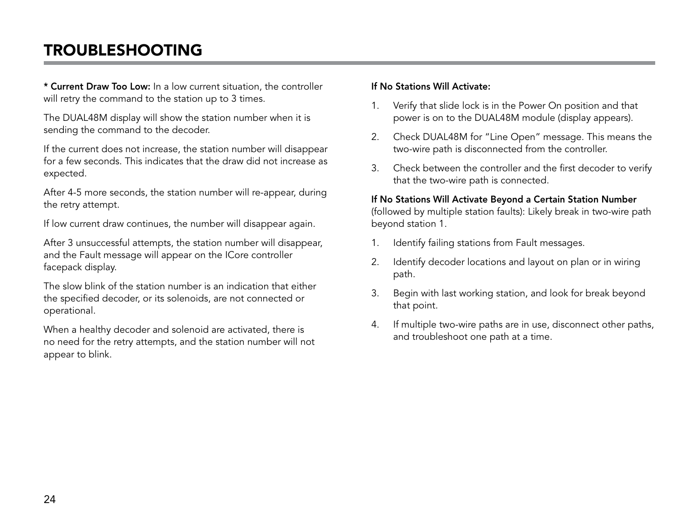## Troubleshooting

\* Current Draw Too Low: In a low current situation, the controller will retry the command to the station up to 3 times.

The DUAL48M display will show the station number when it is sending the command to the decoder.

If the current does not increase, the station number will disappear for a few seconds. This indicates that the draw did not increase as expected.

After 4-5 more seconds, the station number will re-appear, during the retry attempt.

If low current draw continues, the number will disappear again.

After 3 unsuccessful attempts, the station number will disappear, and the Fault message will appear on the ICore controller facepack display.

The slow blink of the station number is an indication that either the specified decoder, or its solenoids, are not connected or operational.

When a healthy decoder and solenoid are activated, there is no need for the retry attempts, and the station number will not appear to blink.

#### If No Stations Will Activate:

- 1. Verify that slide lock is in the Power On position and that power is on to the DUAL48M module (display appears).
- 2. Check DUAL48M for "Line Open" message. This means the two-wire path is disconnected from the controller.
- 3. Check between the controller and the first decoder to verify that the two-wire path is connected.

#### If No Stations Will Activate Beyond a Certain Station Number

(followed by multiple station faults): Likely break in two-wire path beyond station 1.

- 1. Identify failing stations from Fault messages.
- 2. Identify decoder locations and layout on plan or in wiring path.
- 3. Begin with last working station, and look for break beyond that point.
- 4. If multiple two-wire paths are in use, disconnect other paths, and troubleshoot one path at a time.